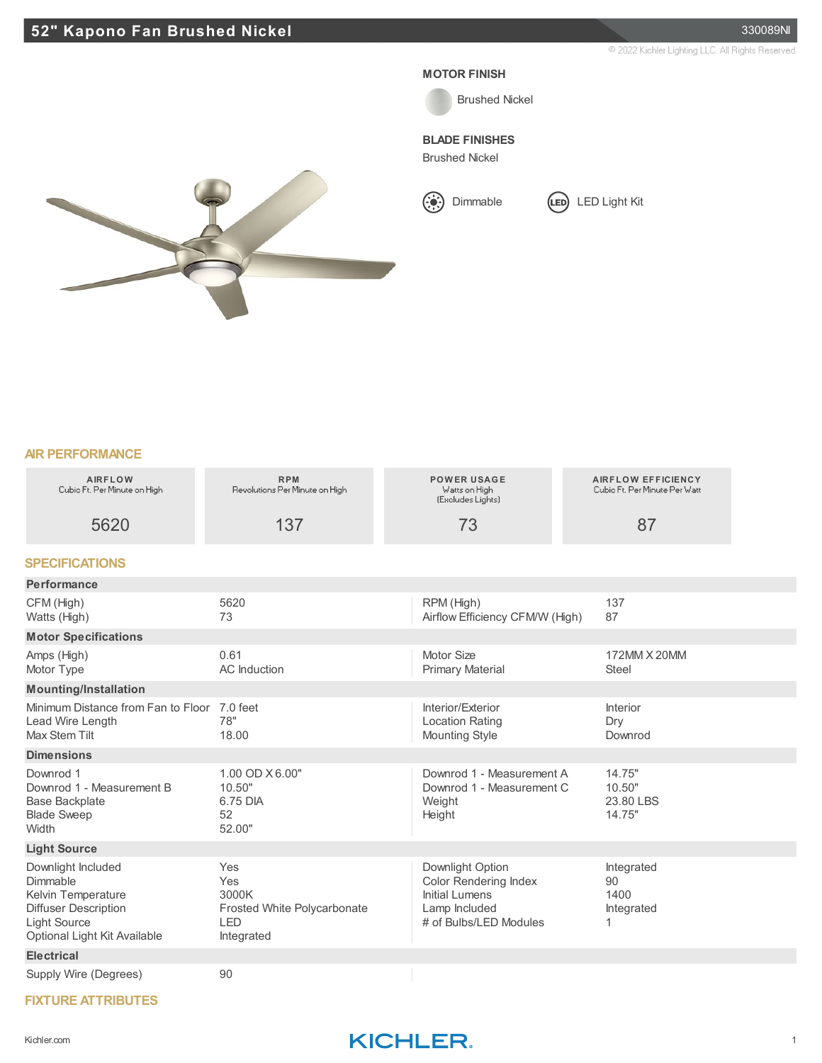



**BLADE FINISHES**

Brushed Nickel





| MIN FENFUNIWMYUE                                                                                                                           |                                                                         |                                                                                                                      |                                                            |
|--------------------------------------------------------------------------------------------------------------------------------------------|-------------------------------------------------------------------------|----------------------------------------------------------------------------------------------------------------------|------------------------------------------------------------|
| <b>AIRFLOW</b><br>Cubic Ft. Per Minute on High                                                                                             | <b>RPM</b><br>Revolutions Per Minute on High                            | <b>POWER USAGE</b><br>Watts on High<br>(Excludes Lights)                                                             | <b>AIRFLOW EFFICIENCY</b><br>Cubio Ft. Per Minute Per Watt |
| 5620                                                                                                                                       | 137                                                                     | 73                                                                                                                   | 87                                                         |
| <b>SPECIFICATIONS</b>                                                                                                                      |                                                                         |                                                                                                                      |                                                            |
| Performance                                                                                                                                |                                                                         |                                                                                                                      |                                                            |
| CFM (High)<br>Watts (High)                                                                                                                 | 5620<br>73                                                              | RPM (High)<br>Airflow Efficiency CFM/W (High)                                                                        | 137<br>87                                                  |
| <b>Motor Specifications</b>                                                                                                                |                                                                         |                                                                                                                      |                                                            |
| Amps (High)<br>Motor Type                                                                                                                  | 0.61<br><b>AC</b> Induction                                             | Motor Size<br><b>Primary Material</b>                                                                                | 172MM X 20MM<br><b>Steel</b>                               |
| <b>Mounting/Installation</b>                                                                                                               |                                                                         |                                                                                                                      |                                                            |
| Minimum Distance from Fan to Floor<br>Lead Wire Length<br>Max Stem Tilt                                                                    | 7.0 feet<br>78"<br>18.00                                                | Interior/Exterior<br><b>Location Rating</b><br><b>Mounting Style</b>                                                 | Interior<br>Dry<br>Downrod                                 |
| <b>Dimensions</b>                                                                                                                          |                                                                         |                                                                                                                      |                                                            |
| Downrod 1<br>Downrod 1 - Measurement B<br><b>Base Backplate</b><br><b>Blade Sweep</b><br>Width                                             | 1.00 OD X 6.00"<br>10.50"<br>6.75 DIA<br>52<br>52.00"                   | Downrod 1 - Measurement A<br>Downrod 1 - Measurement C<br>Weight<br>Height                                           | 14.75"<br>10.50"<br>23.80 LBS<br>14.75"                    |
| <b>Light Source</b>                                                                                                                        |                                                                         |                                                                                                                      |                                                            |
| Downlight Included<br>Dimmable<br>Kelvin Temperature<br><b>Diffuser Description</b><br><b>Light Source</b><br>Optional Light Kit Available | Yes<br>Yes<br>3000K<br>Frosted White Polycarbonate<br>LED<br>Integrated | Downlight Option<br><b>Color Rendering Index</b><br><b>Initial Lumens</b><br>Lamp Included<br># of Bulbs/LED Modules | Integrated<br>90<br>1400<br>Integrated<br>1.               |
| <b>Electrical</b>                                                                                                                          |                                                                         |                                                                                                                      |                                                            |
| Supply Wire (Degrees)                                                                                                                      | 90                                                                      |                                                                                                                      |                                                            |

## **FIXTURE ATTRIBUTES**

## Kichler.com **KICHLER**